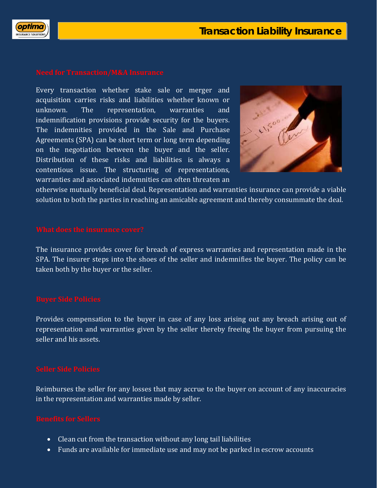

Every transaction whether stake sale or merger and acquisition carries risks and liabilities whether known or unknown. The representation, warranties and indemnification provisions provide security for the buyers. The indemnities provided in the Sale and Purchase Agreements (SPA) can be short term or long term depending on the negotiation between the buyer and the seller. Distribution of these risks and liabilities is always a contentious issue. The structuring of representations, warranties and associated indemnities can often threaten an



otherwise mutually beneficial deal. Representation and warranties insurance can provide a viable solution to both the parties in reaching an amicable agreement and thereby consummate the deal.

The insurance provides cover for breach of express warranties and representation made in the SPA. The insurer steps into the shoes of the seller and indemnifies the buyer. The policy can be taken both by the buyer or the seller.

Provides compensation to the buyer in case of any loss arising out any breach arising out of representation and warranties given by the seller thereby freeing the buyer from pursuing the seller and his assets.

Reimburses the seller for any losses that may accrue to the buyer on account of any inaccuracies in the representation and warranties made by seller.

- Clean cut from the transaction without any long tail liabilities
- Funds are available for immediate use and may not be parked in escrow accounts